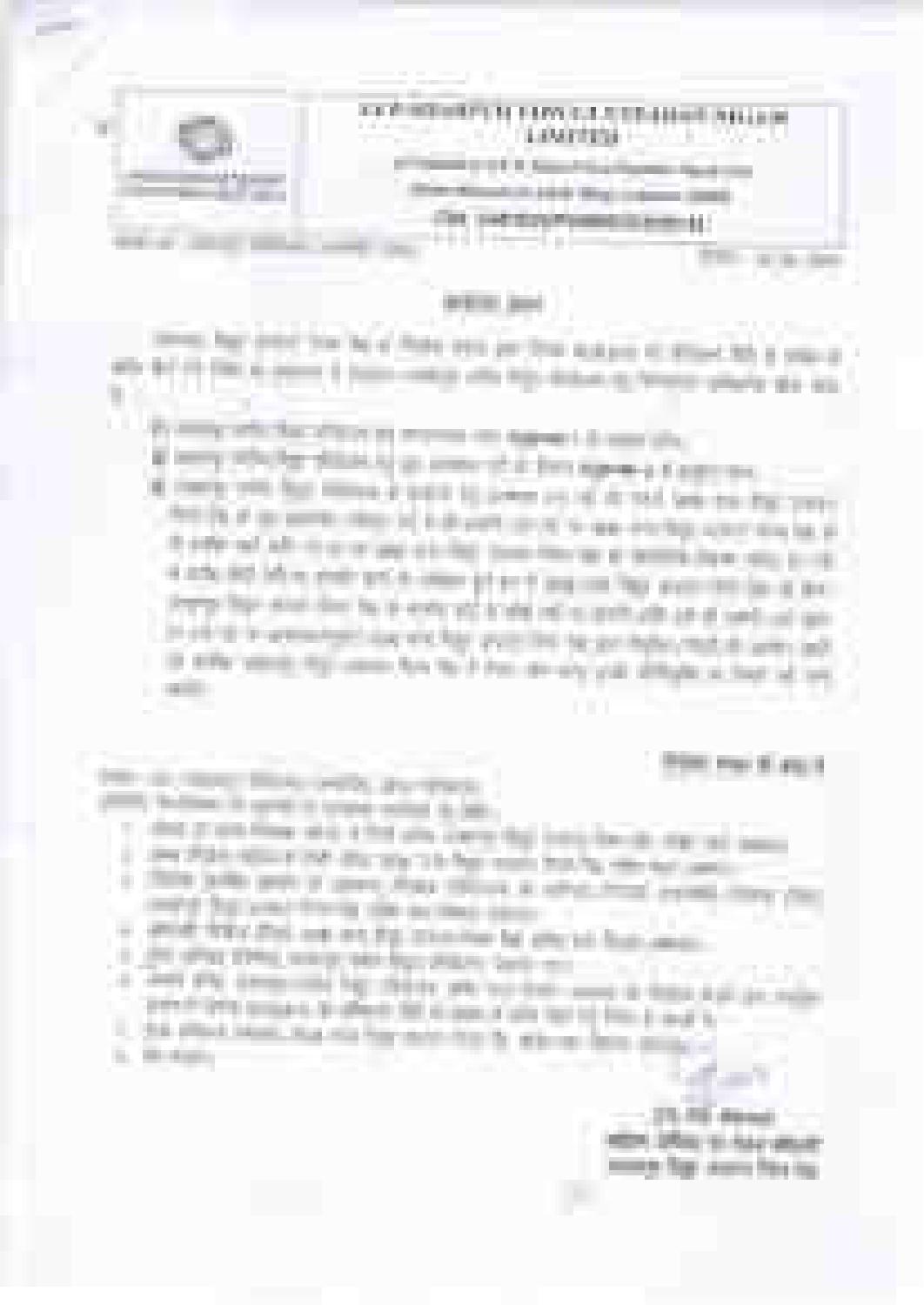

#### **WE'RE SHAT**

Street, Part (2017) for Del et Port (2013) per (2016) Academic Contract MA (\$17.05 DBI) Available C controls within their declaration the future of the state with the later

the same with the affected process on manager is a sample.

at sempreducible ships and a show that form signers a funger me. We close by the first entry of A is all its places are not at the book which that there that the at-the secretary related by the project convert for more detecting a cover sting backthe property and such that the new language of the final channel element age of the entropy particle in the conof strike data before another term in contact the original process and the company data of the cothem be that when the best of an and information as a fact out any The policies for any experimental product with the gravitation of the constitution manufacture and and 1. 10. Although the company will be a start of the company of the company of the company of the company of the  $-100000$ 

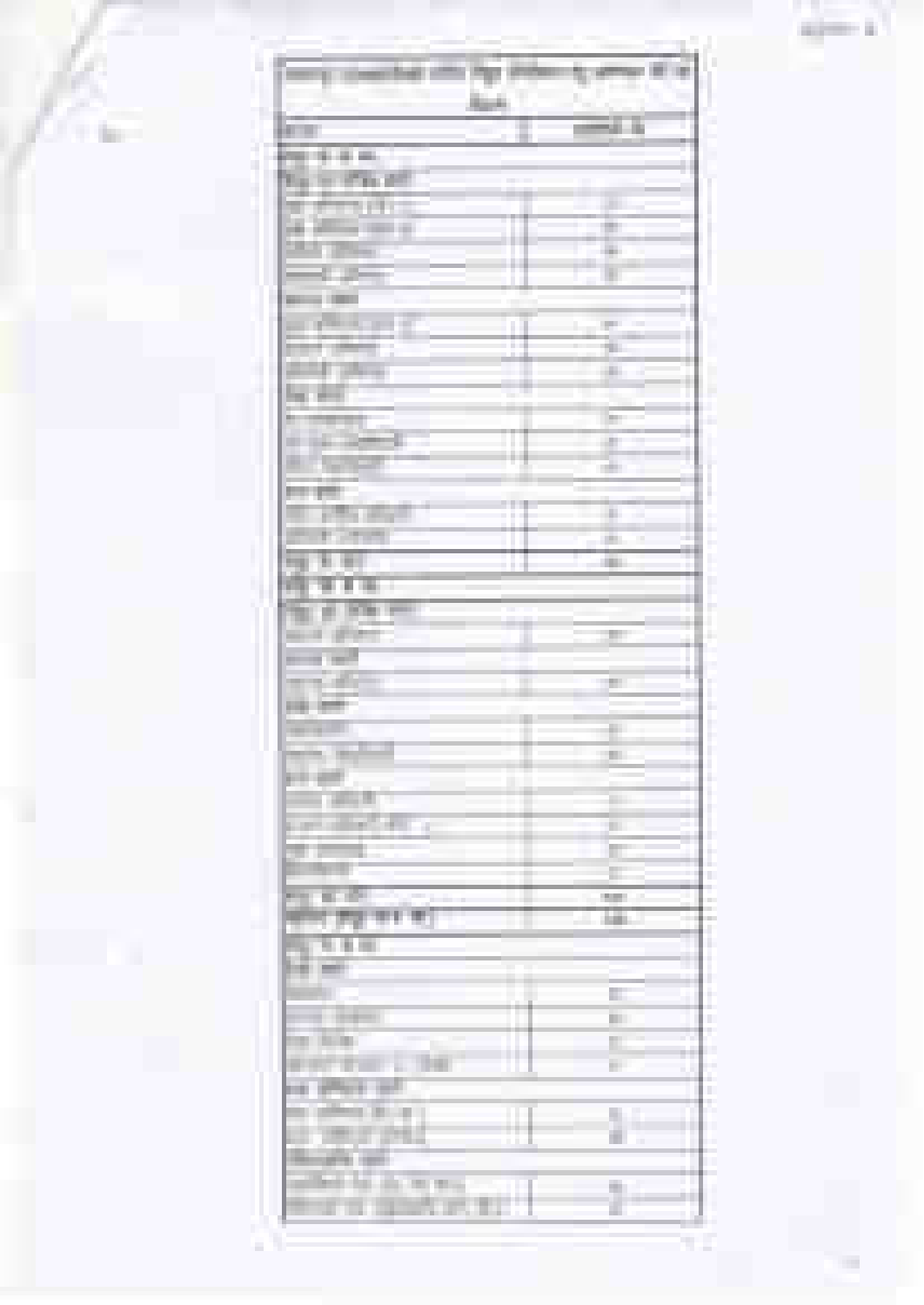| <b>STANDARD COMPANY</b><br>m      |                              | <b>Service</b>   | <b>TELEVISION</b>             |
|-----------------------------------|------------------------------|------------------|-------------------------------|
|                                   | a                            | u.               |                               |
| a.                                | a                            | ÷<br>٠           | U,                            |
| <b>SELLER</b>                     | - 8 -                        |                  | ш                             |
| ę,<br>m.                          |                              |                  |                               |
|                                   |                              | a.               |                               |
| ×<br>. .                          | τ                            | m                |                               |
| يرز                               |                              | ž                |                               |
| <b>Thermost</b>                   |                              | ī.               |                               |
|                                   |                              |                  |                               |
| <b>Service</b><br>. .<br>w        |                              | <b>STEP</b>      |                               |
| m                                 | - - -                        | o.<br>s.         |                               |
|                                   |                              | a.<br>٠          |                               |
|                                   | m                            |                  | L<br>Ŷ                        |
| ▦                                 |                              | m.               |                               |
| g.<br><b>12.73</b>                | H                            | g.               |                               |
| a a                               |                              | m.               | ļ<br>t                        |
| m                                 | m                            |                  | w                             |
| w.<br>a.                          | ņг,<br>a.                    | a.<br>T.<br>u    | I,<br>٠<br>H                  |
|                                   | ۳                            | m.<br>н          | - -<br>шē                     |
| đ,                                | щ                            | <b>SELL</b>      | T<br>î<br>٠                   |
|                                   |                              |                  | ٠                             |
| <b>IN THE</b>                     | ×                            |                  | ŧ<br>a.                       |
| m<br>- 11                         |                              | ٠                | a,<br>l                       |
|                                   |                              | m.               | ŝ                             |
| . .                               |                              |                  |                               |
|                                   |                              | H.               |                               |
|                                   | T                            |                  |                               |
| .                                 |                              | <b>TER</b>       |                               |
| <b>START</b><br>w                 |                              | ۰<br>a.          |                               |
| шú<br><b>STAR</b><br>ì.           |                              | m.<br>m          | ÷.                            |
| t.<br>an a                        | ī                            | IT.              | ۵<br>ŧ                        |
|                                   | ÷.                           | g.<br>-          | ŧ<br>m<br>                    |
| <b>STERN</b><br>ш                 |                              | <b>SIM</b><br>-- | ۰<br>ı                        |
| п                                 | п                            | tа               |                               |
| <b>M. M. H.</b><br>٦              |                              |                  | l                             |
| m                                 | n.<br>m.                     | ٠<br>-           |                               |
|                                   |                              |                  |                               |
|                                   | ٠.<br>$\bigoplus$<br>a.<br>ë | m.               |                               |
| <b>Contract</b><br>. .            | I                            | m.               |                               |
| <b>TANKS</b>                      |                              | E,               | a na                          |
| u.                                | H                            | a.               | 1<br>i.                       |
| ÷<br>$\blacklozenge$              |                              | œ                | I                             |
| <b>COLOR</b><br><b>COLLECTION</b> | щ                            | ۰                |                               |
| <b>The Contract</b>               | J<br>ЦU.                     | ţ<br>×           | jυ,<br>. .<br>ı<br>. .<br>. . |
| arm in<br>÷                       |                              |                  |                               |
| <b>City is my</b>                 | will                         | ۰<br>1           | J<br>e f                      |

Пf

k.

 $\bigoplus$ 

o k

si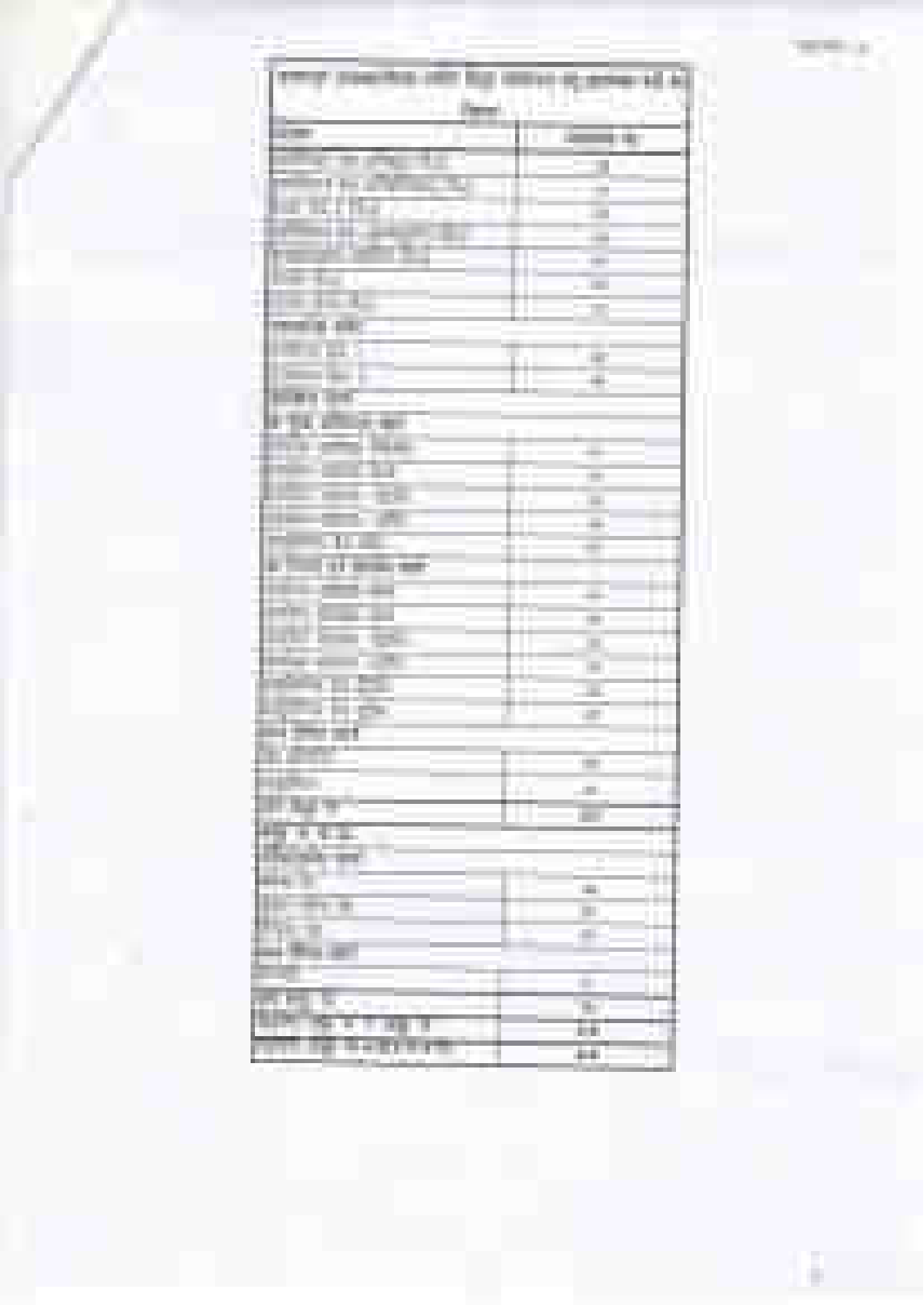ł

| . .<br>٠<br>ūн.                        | ₩<br>ы<br>h.<br>ă,<br>÷<br>t.                      |
|----------------------------------------|----------------------------------------------------|
| H.<br>٠                                | Ŧ,<br>j.<br>ı<br>F                                 |
| m<br>m<br>×                            |                                                    |
|                                        | a a<br><b>THE</b>                                  |
| m<br>ä<br>$-100000$                    | 48<br><b>ALC</b>                                   |
| ж<br>٠<br>в<br>۰<br><b>Little</b><br>٠ | <b>Color</b>                                       |
| m                                      | . .<br>$-100$                                      |
| ٠                                      | <b>1999</b><br>L.                                  |
| ٠                                      | E Li<br><b>COL</b><br><b>British</b>               |
|                                        |                                                    |
| <b>ALC</b>                             | Ţ.<br>m<br>- 2                                     |
| <b>STATISTICS</b><br>m<br>a ser        | P. C<br>a.<br>.                                    |
|                                        |                                                    |
| - 88<br>ш                              | <b>The Co</b><br>t.<br>a.                          |
| -82                                    | t.                                                 |
| e a                                    | m<br>in and<br>n.                                  |
| . .<br>w                               | and in<br>i.<br>m<br>a.                            |
| --<br>m<br>I                           | m                                                  |
| <b>SHOP</b>                            | s.<br>Ħ<br>n<br>٩<br>٠                             |
| ۰<br>. .<br>۰                          | ÷<br>n<br>.                                        |
| m                                      | ÷<br>and a<br>ш<br>.<br>÷                          |
| <b>ST</b><br>۰<br>m                    | n.<br>18<br>ī,                                     |
| m<br>۰<br>jщ,                          | Ï<br>- 1<br><b>Allen</b><br>.<br>m                 |
|                                        | 6.10<br>u n<br>and the con-<br>×                   |
| a shekara<br>Т<br>-981                 | 99<br>Ħ,<br><b>ART</b><br>u                        |
| 13<br>. .<br>н<br>m                    |                                                    |
| n an                                   | m                                                  |
| u.<br><b>COL</b><br>1                  | 55<br>and the con-<br>.                            |
|                                        | TT.<br>H.<br><b>STEP</b>                           |
| - 19<br><b>ALCOHOL:</b><br>m.<br>в     | щ                                                  |
| u                                      | ÷.<br>$\mathcal{L}^{\mathcal{L}}$<br>m.<br>T,<br>ш |
| b.                                     | - 11<br>Ŧ<br><b>College</b><br>ŧ                   |
| 世界<br>ti.<br>ш                         | Ë<br>ш<br>ı<br>T.<br>a.                            |
| H<br>in.<br>an.                        | I<br>a.                                            |
|                                        | œ.                                                 |
| ч.<br>УD.                              | <br>×                                              |
| ш<br>E<br>a.<br>Ŧ                      | 3 H<br><br>79<br>m<br>œ.                           |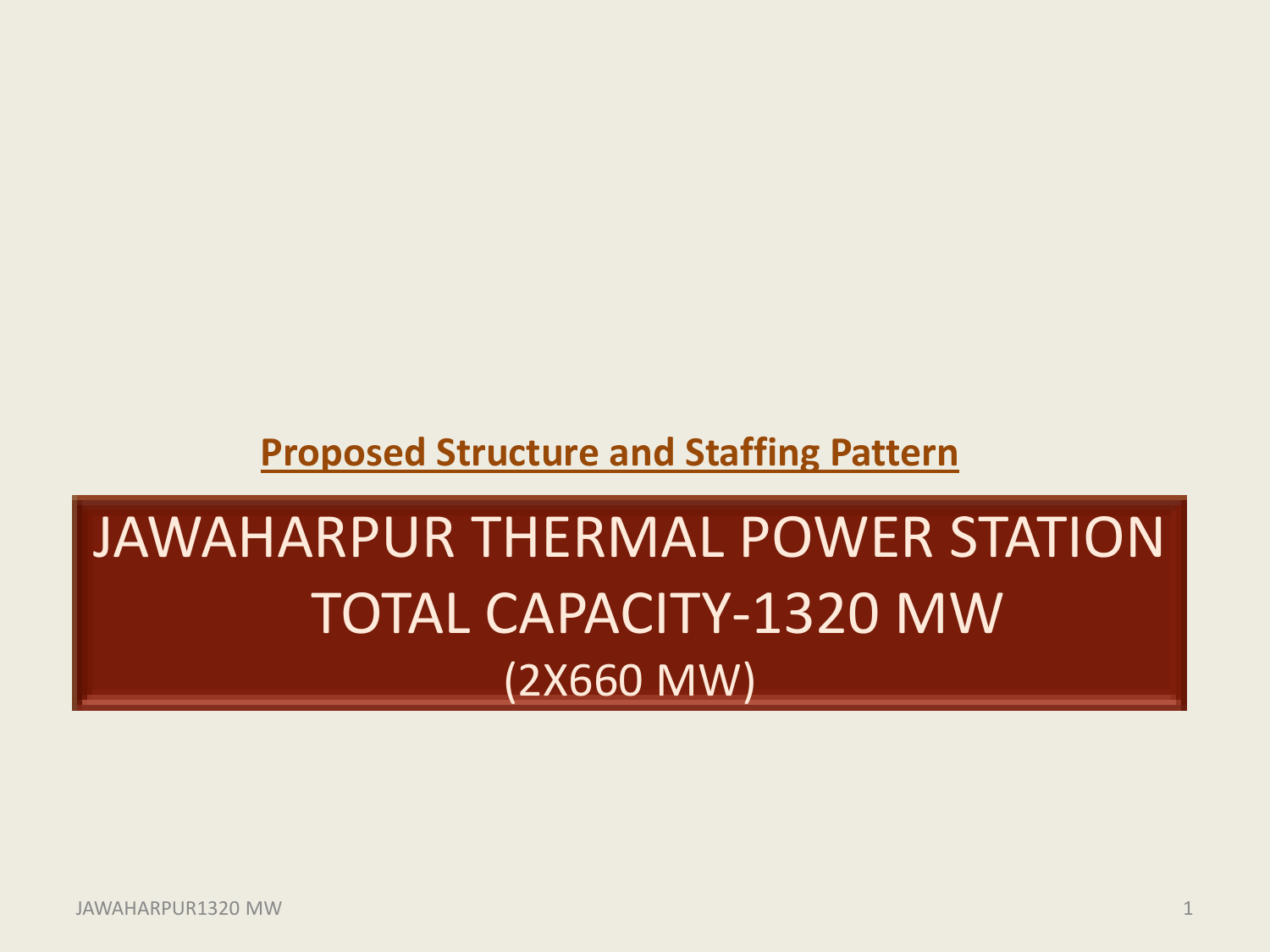**Proposed Structure and Staffing Pattern**

## JAWAHARPUR THERMAL POWER STATION TOTAL CAPACITY-1320 MW (2X660 MW)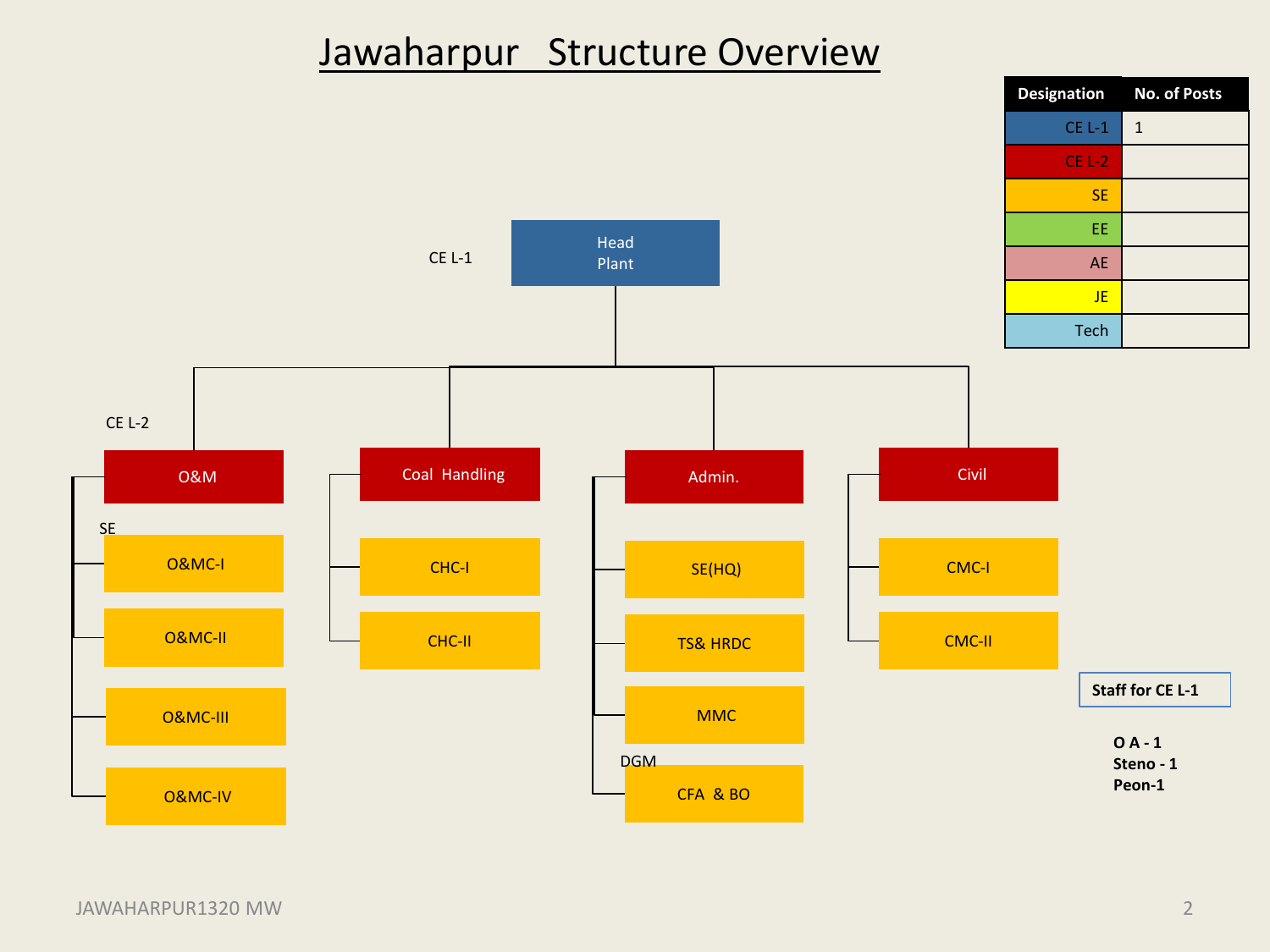### Jawaharpur Structure Overview

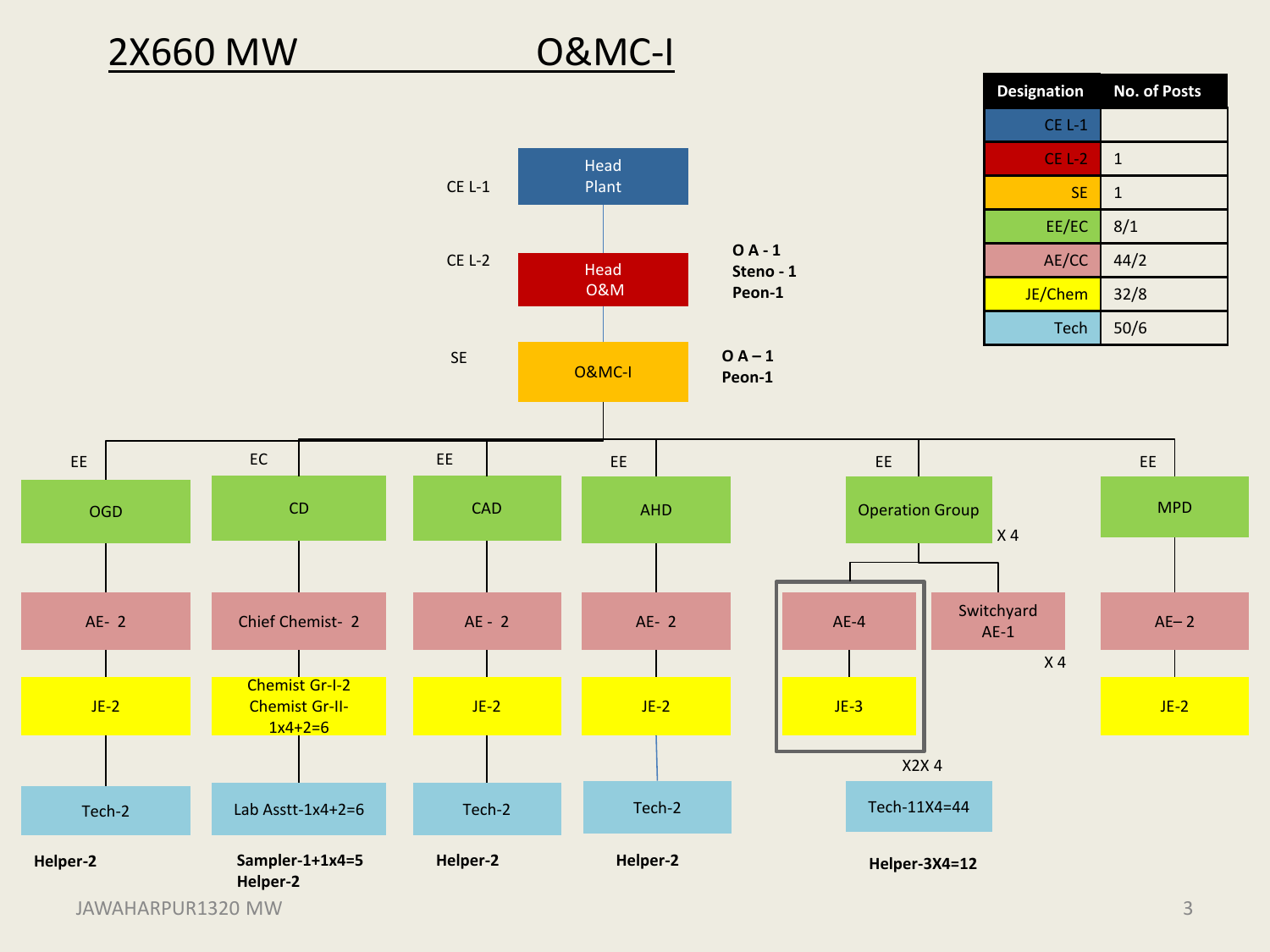

**Designation No. of Posts**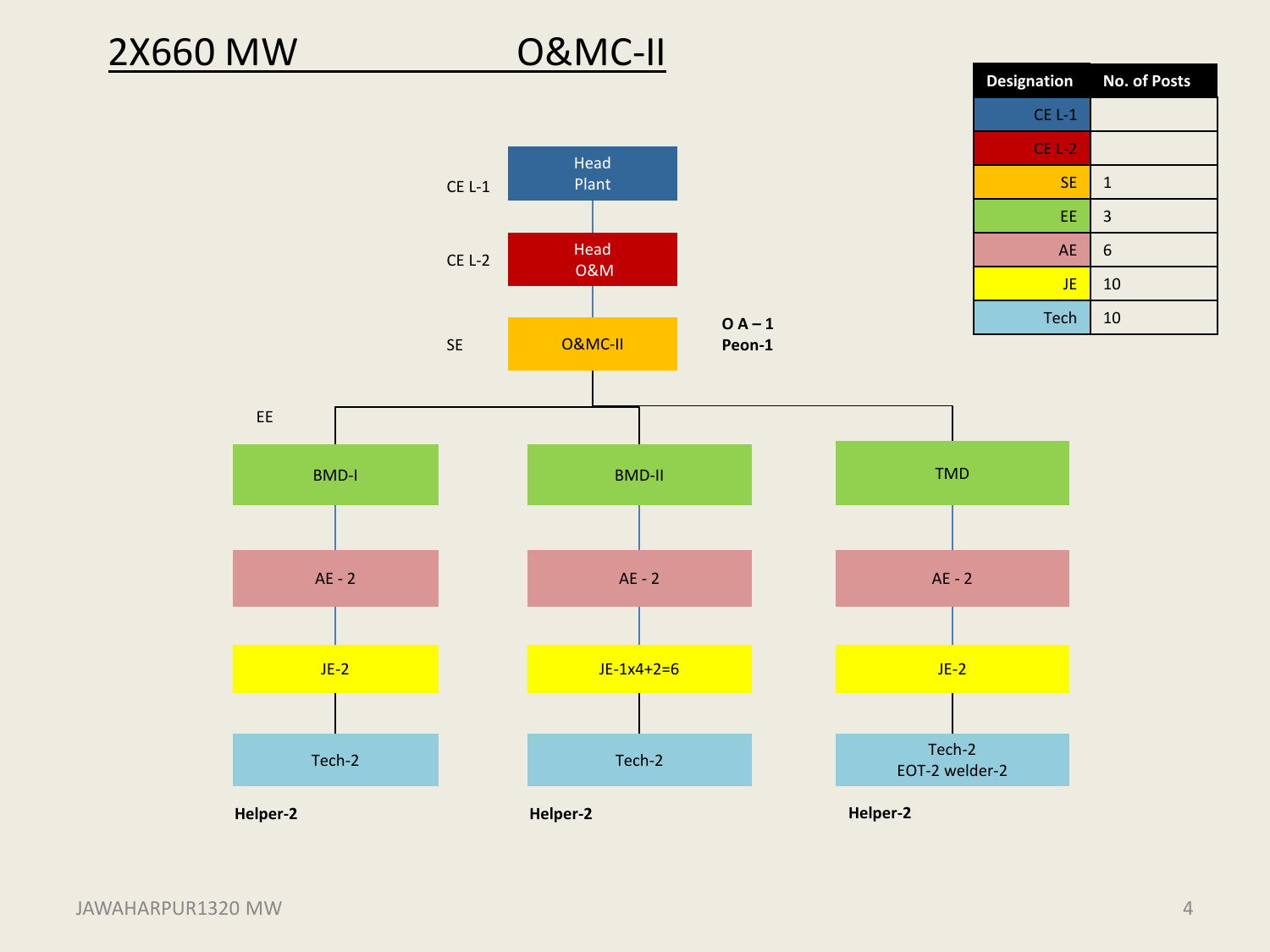

**Designation No. of Posts**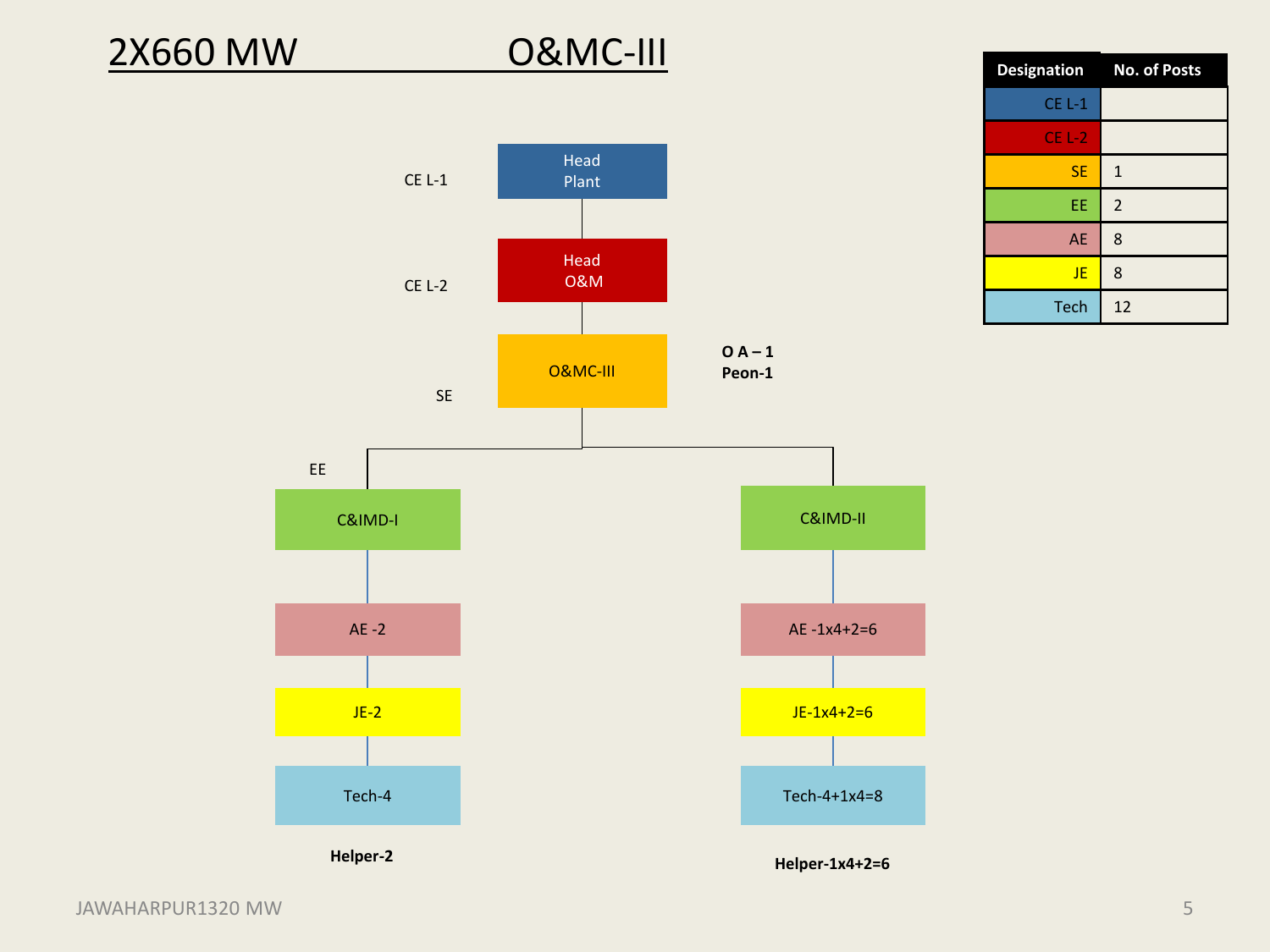

| <b>Designation</b> No. of Posts |                |
|---------------------------------|----------------|
| $CEL-1$                         |                |
| $CE$ $L-2$                      |                |
| <b>SE</b>                       | $\mathbf{1}$   |
| ΕE                              | $\overline{2}$ |
| <b>AE</b>                       | 8              |
| JE                              | 8              |
| <b>Tech</b>                     | 12             |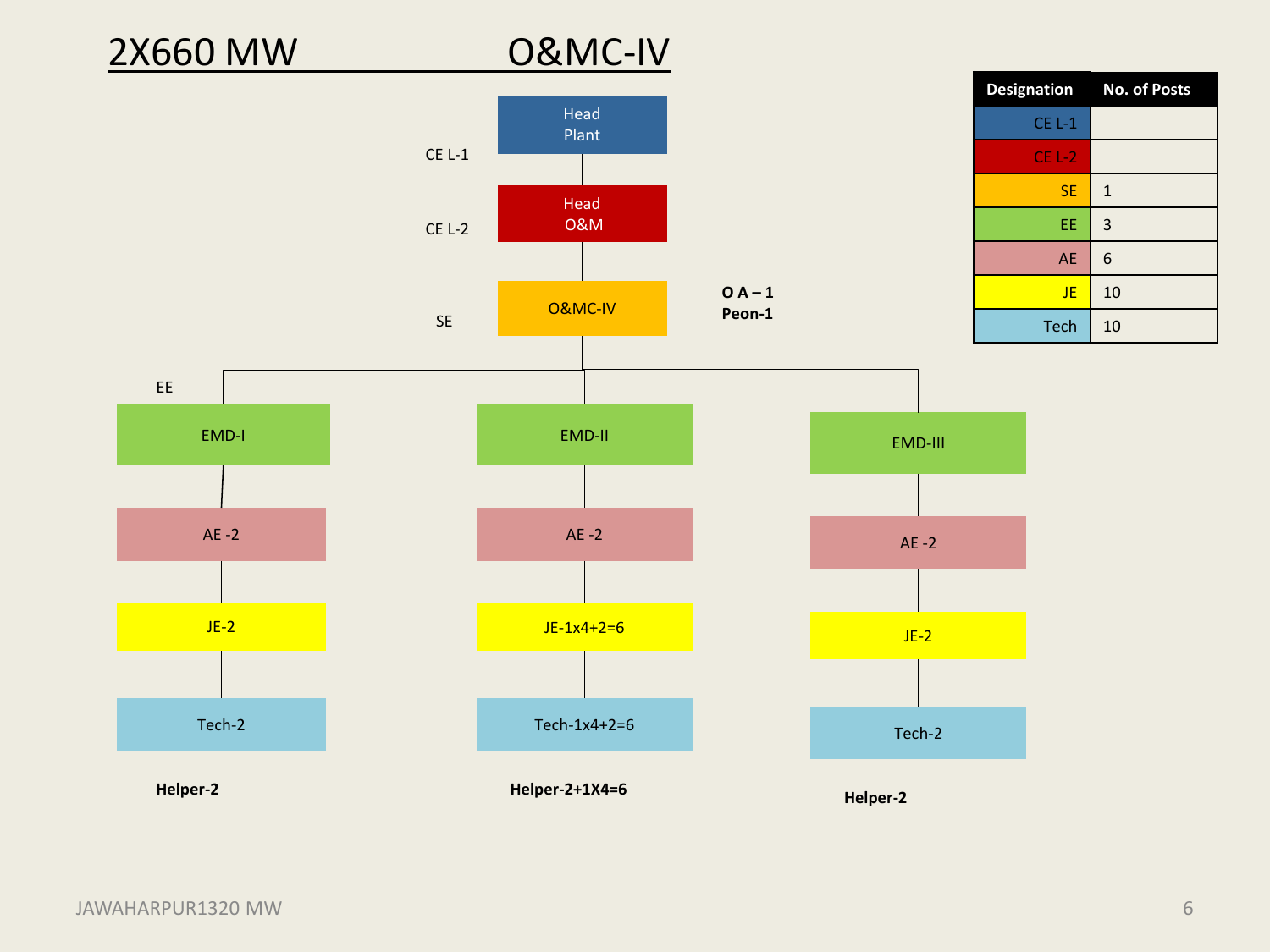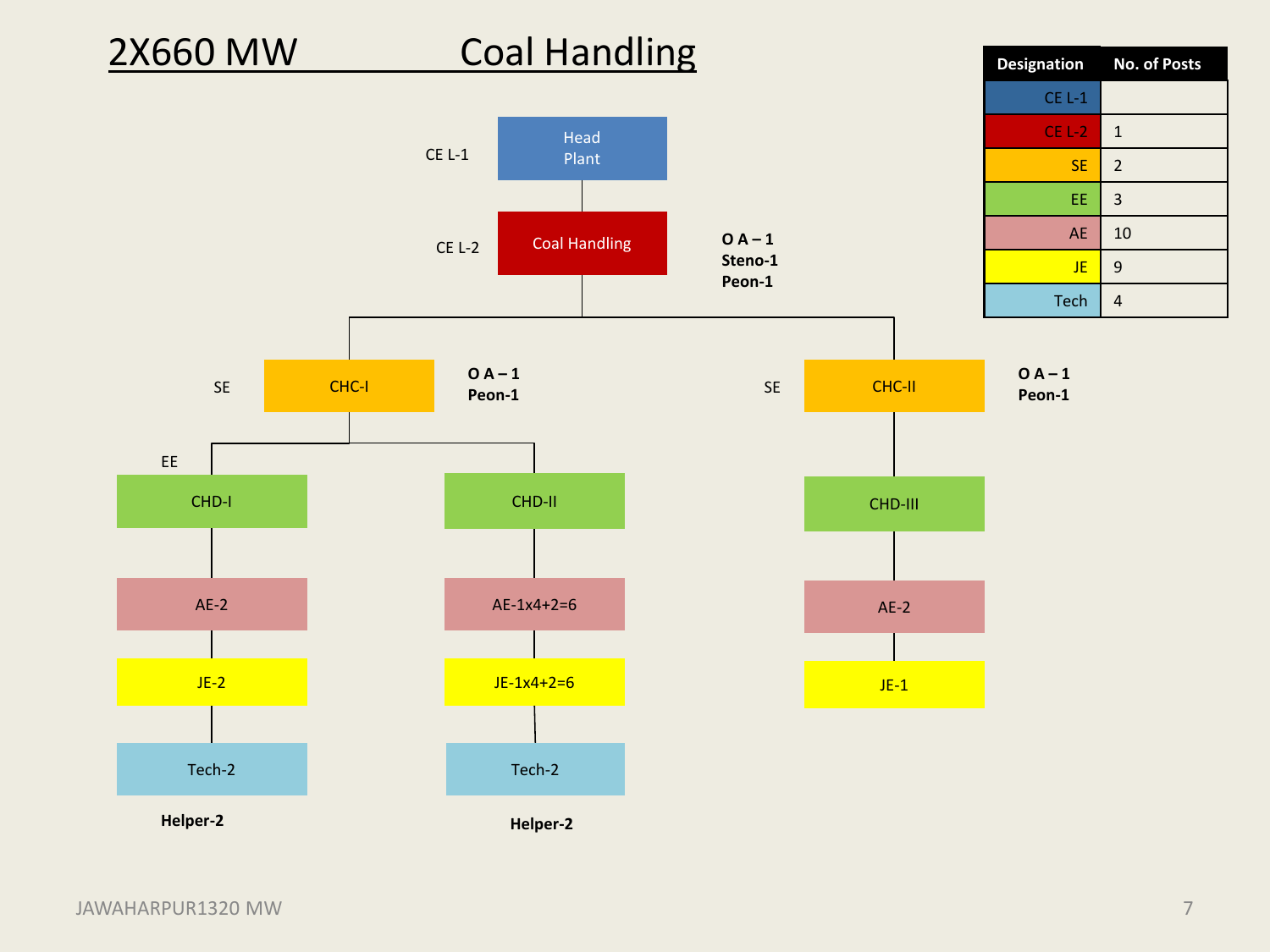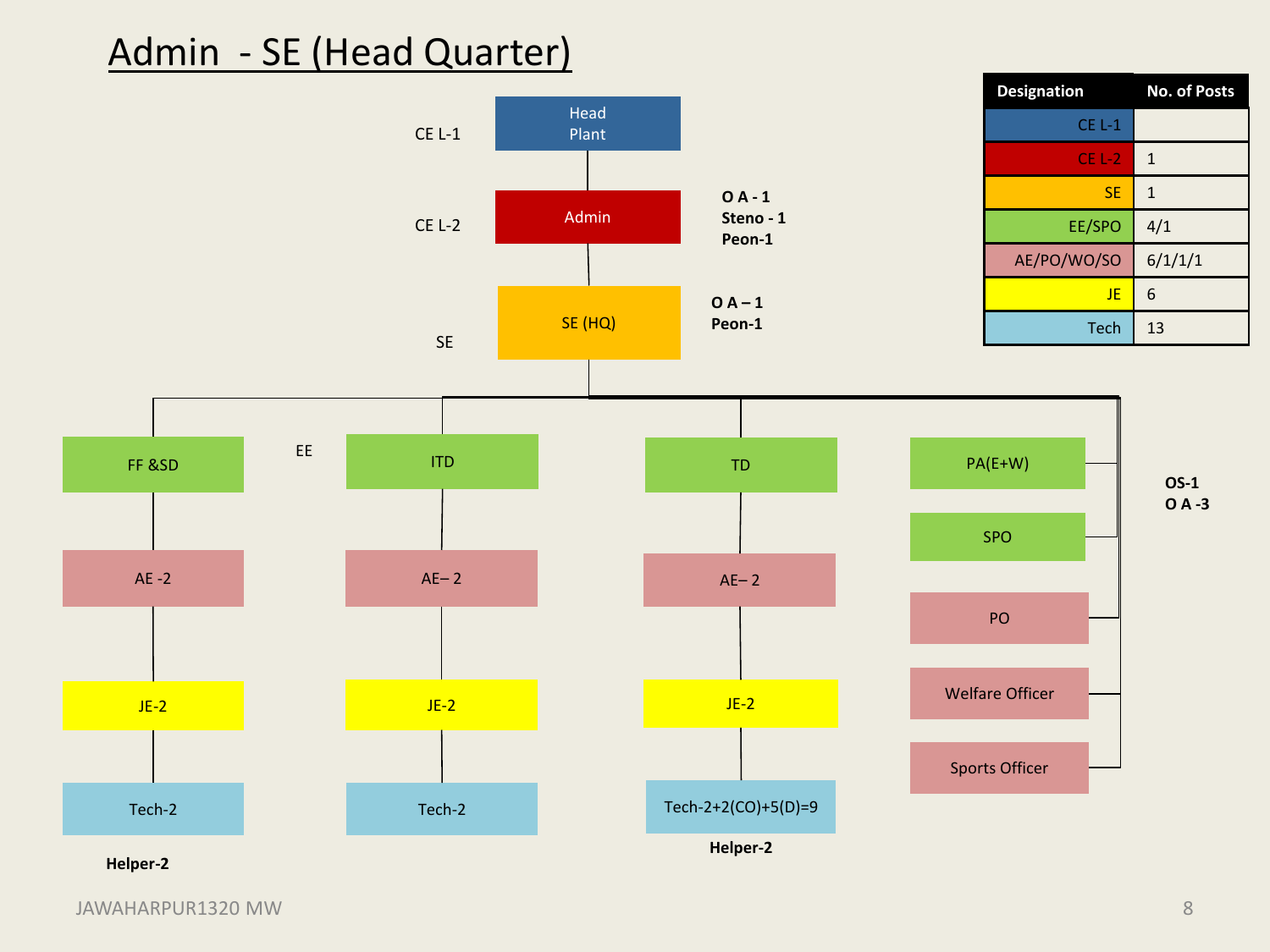#### Admin - SE (Head Quarter)



JAWAHARPUR1320 MW 8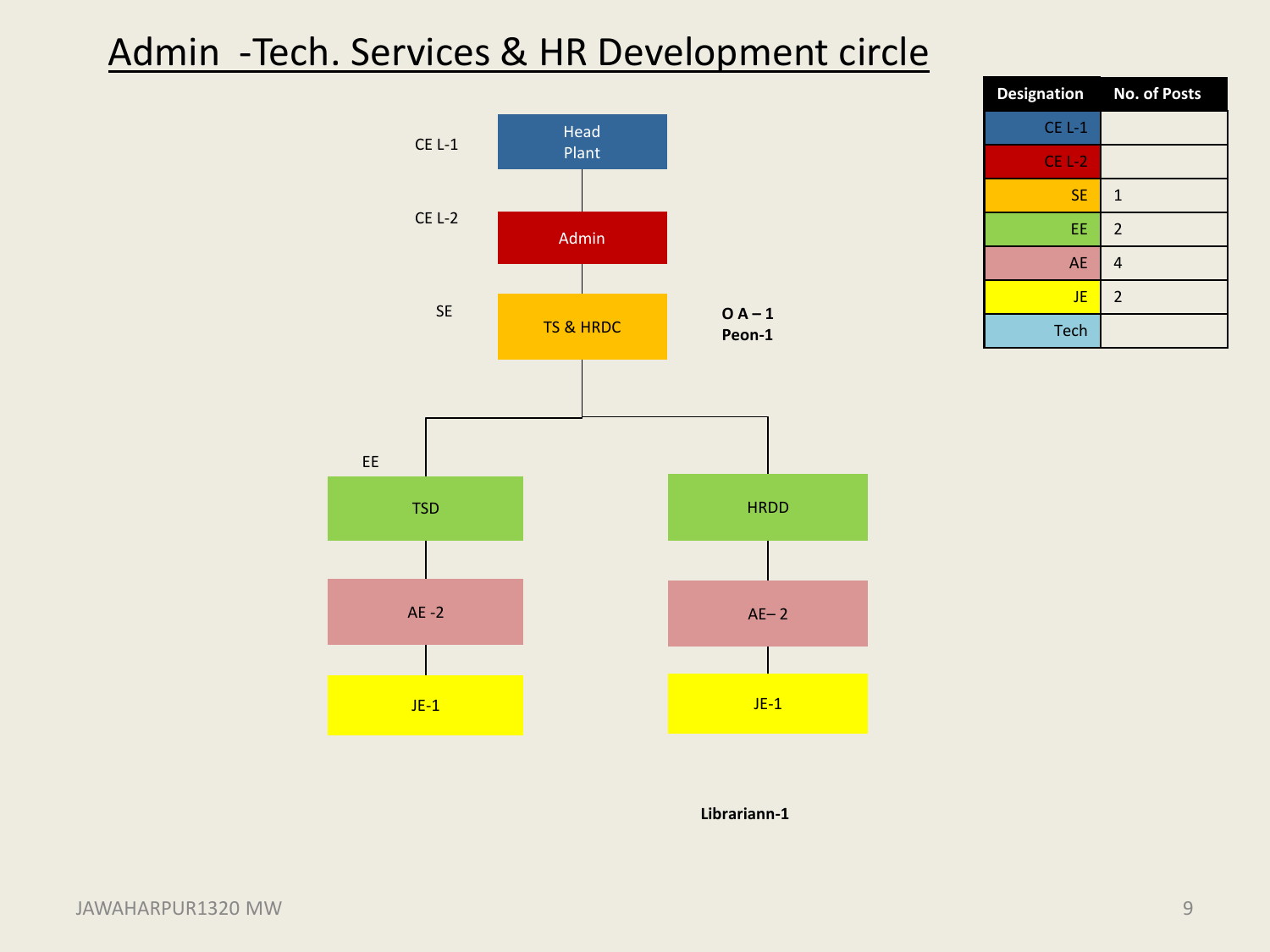#### Admin -Tech. Services & HR Development circle



| <b>Designation</b> No. of Posts |                |
|---------------------------------|----------------|
| $CEL-1$                         |                |
| $CE$ $L-2$                      |                |
| <b>SE</b>                       | $\mathbf{1}$   |
| EE                              | $\overline{2}$ |
| AE                              | 4              |
| JE                              | $\overline{2}$ |
| <b>Tech</b>                     |                |

**Librariann-1**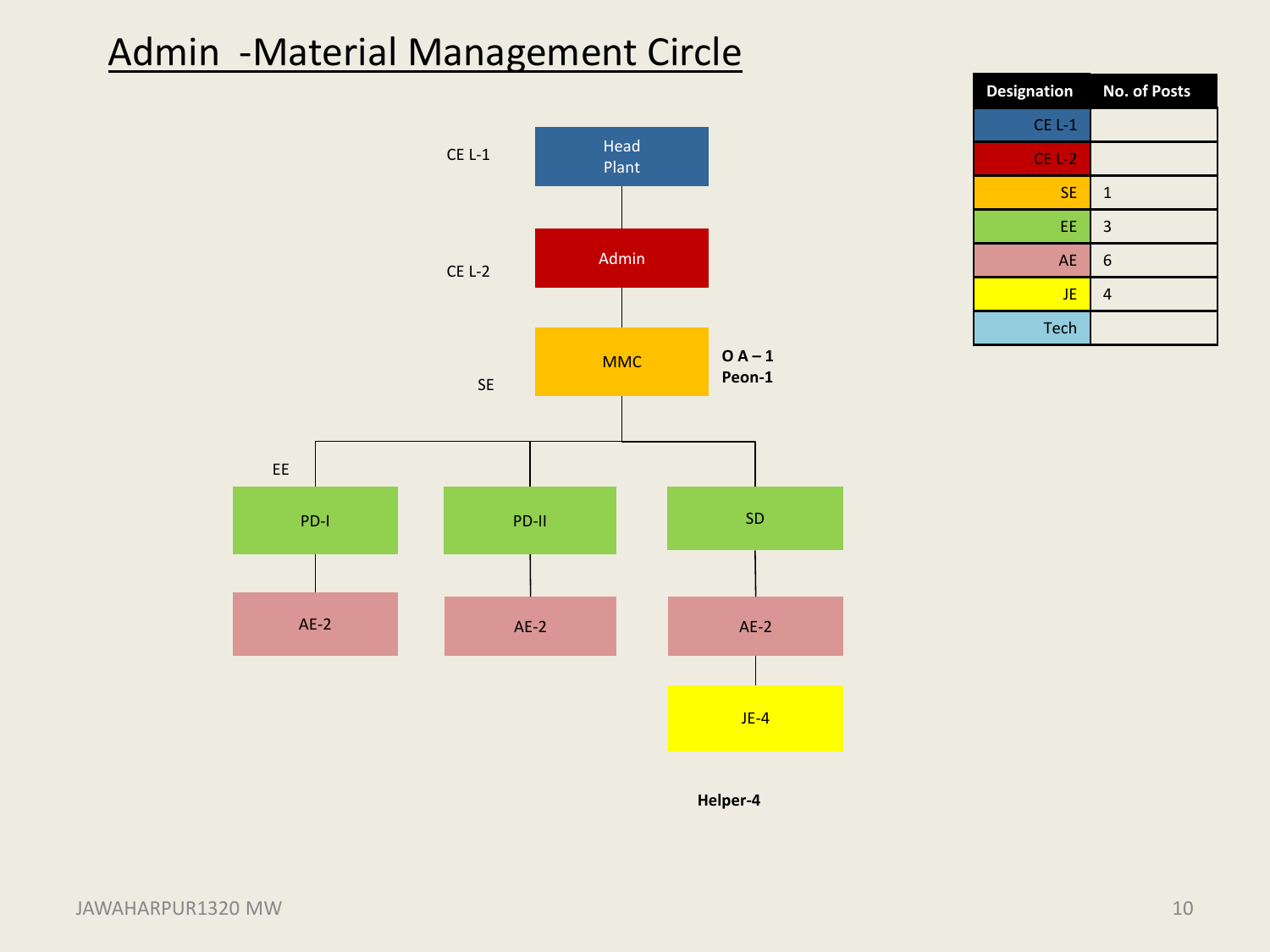### Admin -Material Management Circle



| <b>Designation</b> No. of Posts |                |
|---------------------------------|----------------|
| $CEL-1$                         |                |
| $CE L-2$                        |                |
| <b>SE</b>                       | $\mathbf{1}$   |
| EE                              | $\overline{3}$ |
| <b>AE</b>                       | 6              |
| JE                              | 4              |
| <b>Tech</b>                     |                |

**Helper-4**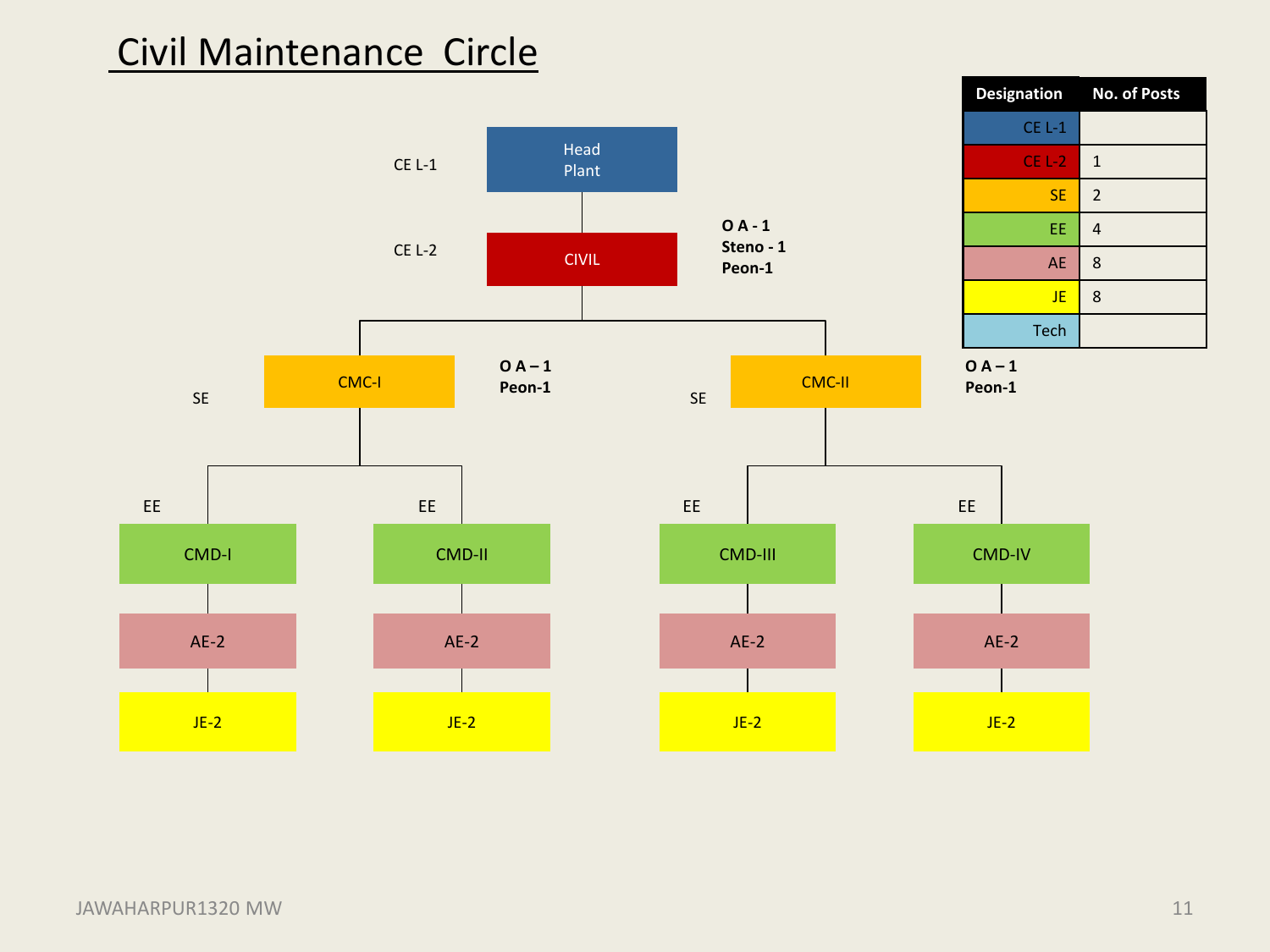### Civil Maintenance Circle

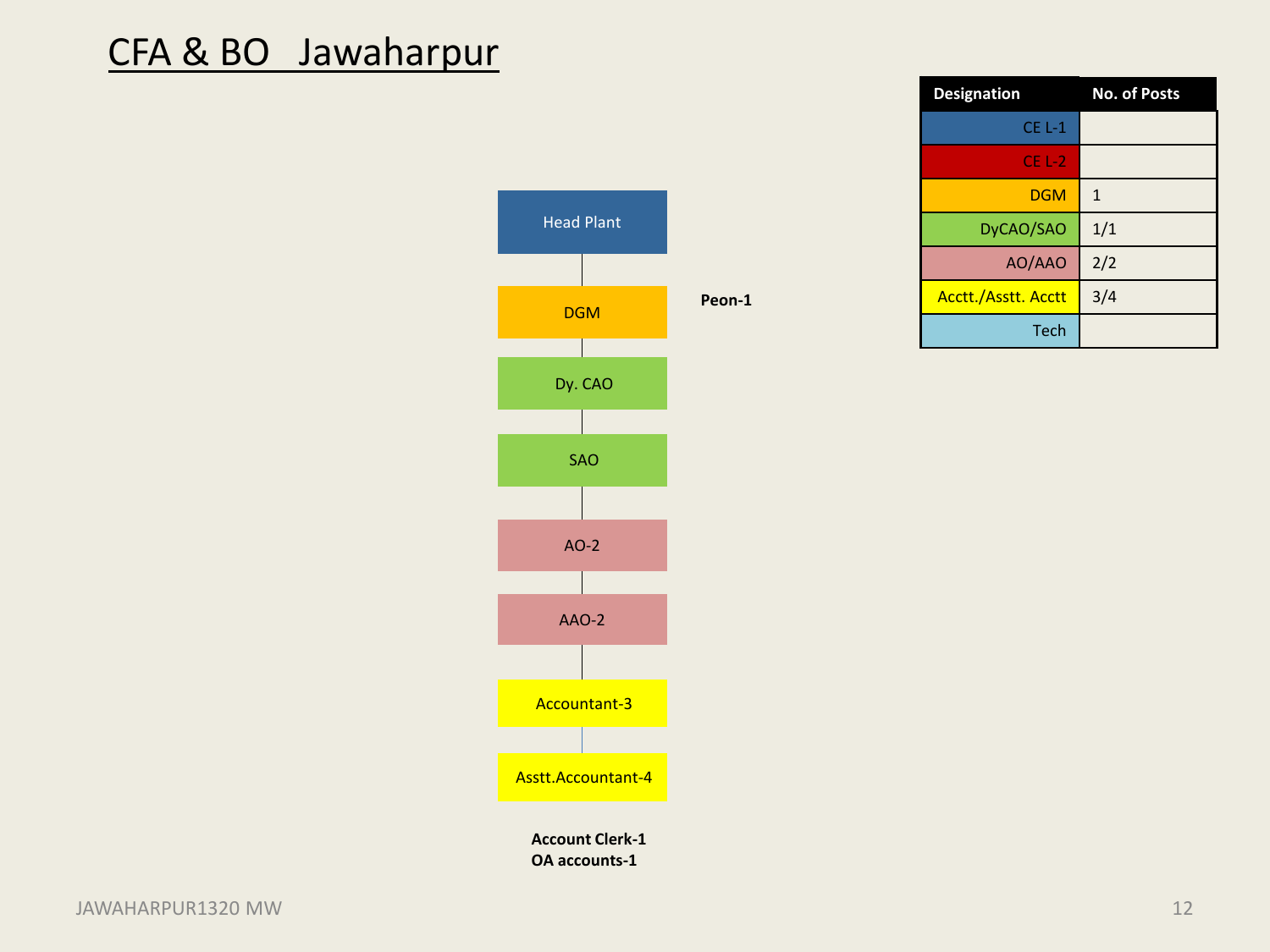#### CFA & BO Jawaharpur



| <b>Designation</b>         | <b>No. of Posts</b> |
|----------------------------|---------------------|
| $CEL-1$                    |                     |
| $CEL-2$                    |                     |
| <b>DGM</b>                 | $\mathbf{1}$        |
| DyCAO/SAO                  | 1/1                 |
| AO/AAO                     | 2/2                 |
| <b>Acctt./Asstt. Acctt</b> | 3/4                 |
| Tech                       |                     |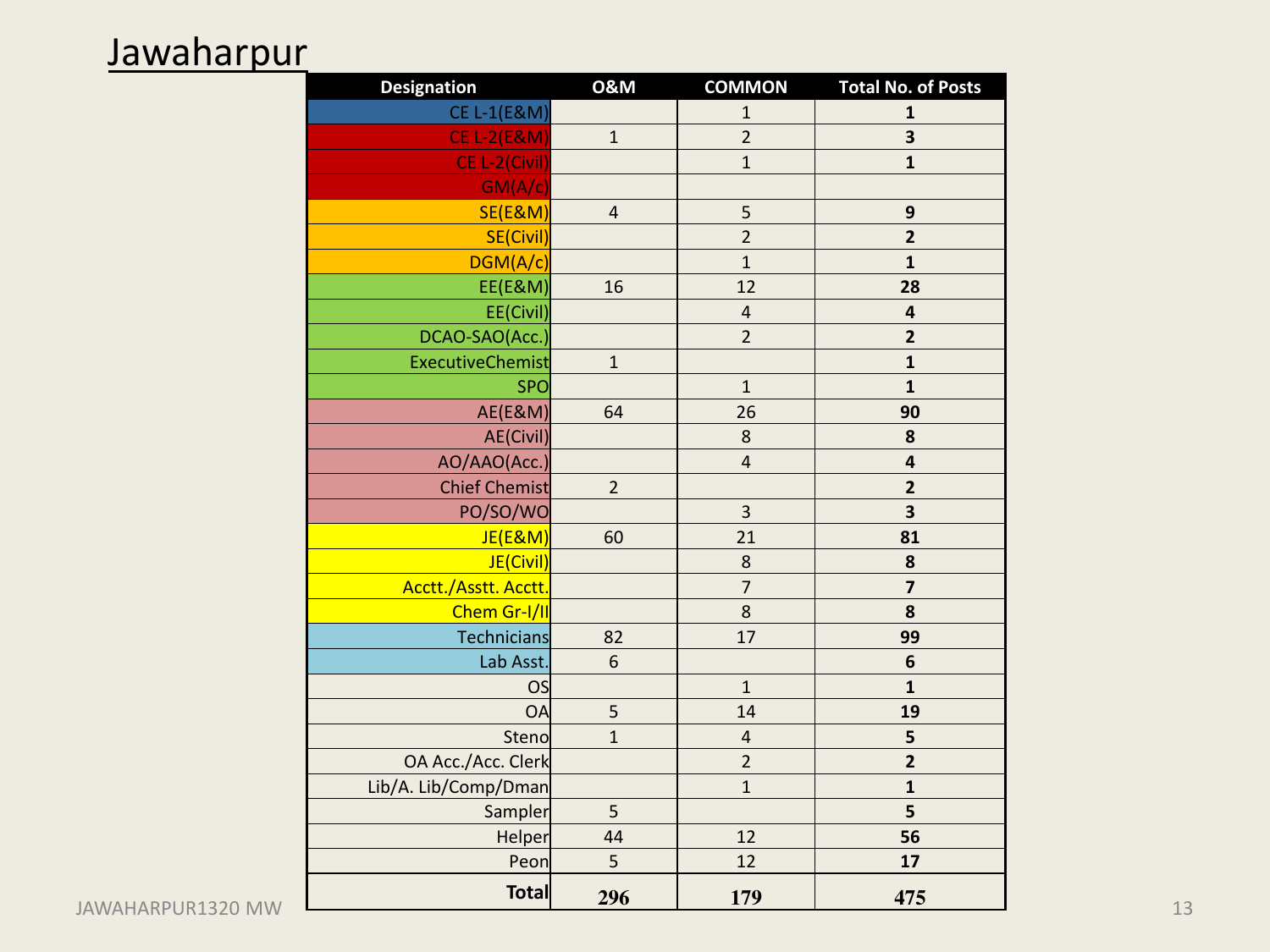#### **Jawaharpur**

|                   | <b>Designation</b>     | <b>0&amp;M</b> | <b>COMMON</b>  | <b>Total No. of Posts</b> |
|-------------------|------------------------|----------------|----------------|---------------------------|
|                   | <b>CE L-1(E&amp;M)</b> |                | $\mathbf{1}$   | $\mathbf{1}$              |
|                   | <b>CEL-2(E&amp;M)</b>  | $\mathbf 1$    | $\overline{2}$ | $\overline{\mathbf{3}}$   |
|                   | CE L-2(Civil           |                | $\mathbf{1}$   | $\mathbf 1$               |
|                   | GM(A/c)                |                |                |                           |
|                   | <b>SE(E&amp;M)</b>     | $\overline{a}$ | 5              | $\boldsymbol{9}$          |
|                   | SE(Civil)              |                | $\overline{2}$ | $\overline{2}$            |
|                   | DGM(A/c)               |                | $\mathbf 1$    | $\mathbf 1$               |
|                   | EE(E&M)                | 16             | 12             | 28                        |
|                   | EE(Civil)              |                | $\sqrt{4}$     | 4                         |
|                   | DCAO-SAO(Acc.)         |                | $\overline{2}$ | $\overline{\mathbf{c}}$   |
|                   | ExecutiveChemist       | $\mathbf 1$    |                | $\mathbf 1$               |
|                   | SPO                    |                | $\mathbf{1}$   | $\mathbf 1$               |
|                   | <b>AE(E&amp;M)</b>     | 64             | 26             | 90                        |
|                   | AE(Civil)              |                | $\,8\,$        | $\pmb{8}$                 |
|                   | AO/AAO(Acc.)           |                | $\overline{4}$ | $\overline{\mathbf{4}}$   |
|                   | <b>Chief Chemist</b>   | $\overline{2}$ |                | $\overline{2}$            |
|                   | PO/SO/WO               |                | $\overline{3}$ | $\overline{\mathbf{3}}$   |
|                   | JE(E&M)                | 60             | 21             | 81                        |
|                   | JE(Civil)              |                | $\,8\,$        | $\pmb{8}$                 |
|                   | Acctt./Asstt. Acctt.   |                | $\overline{7}$ | $\overline{\mathbf{z}}$   |
|                   | Chem Gr-I/II           |                | $\,8\,$        | 8                         |
|                   | Technicians            | 82             | 17             | 99                        |
|                   | Lab Asst.              | $\sqrt{6}$     |                | $\boldsymbol{6}$          |
|                   | OS                     |                | $\mathbf{1}$   | $\mathbf{1}$              |
|                   | <b>OA</b>              | $\mathsf S$    | 14             | 19                        |
|                   | Steno                  | $\mathbf 1$    | $\overline{4}$ | 5                         |
|                   | OA Acc./Acc. Clerk     |                | $\overline{2}$ | $\overline{2}$            |
|                   | Lib/A. Lib/Comp/Dman   |                | $\mathbf{1}$   | $\mathbf 1$               |
|                   | Sampler                | 5              |                | 5                         |
|                   | Helper                 | 44             | 12             | 56                        |
|                   | Peon                   | 5              | 12             | 17                        |
|                   | <b>Total</b>           |                |                |                           |
| JAWAHARPUR1320 MW |                        | 296            | 179            | 475                       |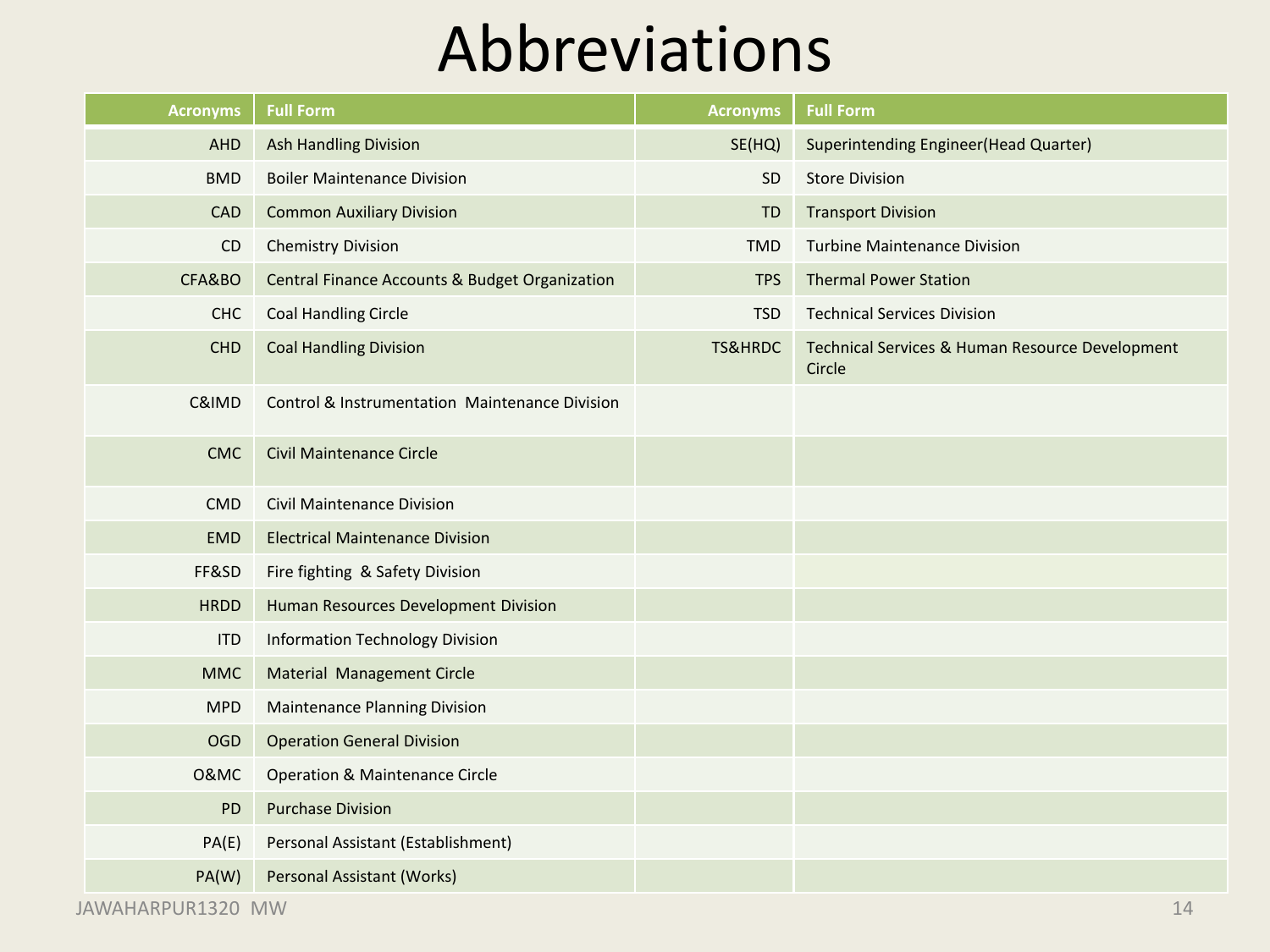# Abbreviations

| <b>Acronyms</b> | <b>Full Form</b>                               | <b>Acronyms</b> | <b>Full Form</b>                                          |
|-----------------|------------------------------------------------|-----------------|-----------------------------------------------------------|
| <b>AHD</b>      | <b>Ash Handling Division</b>                   | SE(HQ)          | <b>Superintending Engineer (Head Quarter)</b>             |
| <b>BMD</b>      | <b>Boiler Maintenance Division</b>             | <b>SD</b>       | <b>Store Division</b>                                     |
| <b>CAD</b>      | <b>Common Auxiliary Division</b>               | <b>TD</b>       | <b>Transport Division</b>                                 |
| CD              | <b>Chemistry Division</b>                      | <b>TMD</b>      | <b>Turbine Maintenance Division</b>                       |
| CFA&BO          | Central Finance Accounts & Budget Organization | <b>TPS</b>      | <b>Thermal Power Station</b>                              |
| <b>CHC</b>      | <b>Coal Handling Circle</b>                    | <b>TSD</b>      | <b>Technical Services Division</b>                        |
| <b>CHD</b>      | <b>Coal Handling Division</b>                  | TS&HRDC         | Technical Services & Human Resource Development<br>Circle |
| C&IMD           | Control & Instrumentation Maintenance Division |                 |                                                           |
| <b>CMC</b>      | <b>Civil Maintenance Circle</b>                |                 |                                                           |
| <b>CMD</b>      | Civil Maintenance Division                     |                 |                                                           |
| <b>EMD</b>      | <b>Electrical Maintenance Division</b>         |                 |                                                           |
| FF&SD           | Fire fighting & Safety Division                |                 |                                                           |
| <b>HRDD</b>     | Human Resources Development Division           |                 |                                                           |
| <b>ITD</b>      | Information Technology Division                |                 |                                                           |
| <b>MMC</b>      | Material Management Circle                     |                 |                                                           |
| <b>MPD</b>      | <b>Maintenance Planning Division</b>           |                 |                                                           |
| <b>OGD</b>      | <b>Operation General Division</b>              |                 |                                                           |
| O&MC            | Operation & Maintenance Circle                 |                 |                                                           |
| PD              | <b>Purchase Division</b>                       |                 |                                                           |
| PA(E)           | Personal Assistant (Establishment)             |                 |                                                           |
| PA(W)           | Personal Assistant (Works)                     |                 |                                                           |